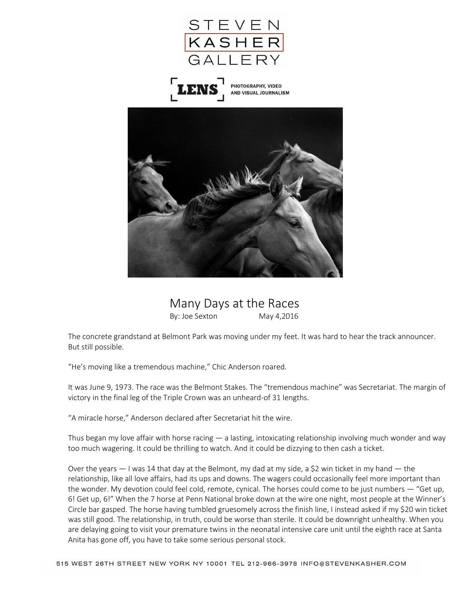

 Many Days at the Races By: Joe Sexton May 4,2016

The concrete grandstand at Belmont Park was moving under my feet. It was hard to hear the track announcer. But still possible.

"He's moving like a tremendous machine," Chic Anderson roared.

It was June 9, 1973. The race was the Belmont Stakes. The "tremendous machine" was Secretariat. The margin of victory in the final leg of the Triple Crown was an unheard-of 31 lengths.

"A miracle horse," Anderson declared after Secretariat hit the wire.

Thus began my love affair with horse racing — a lasting, intoxicating relationship involving much wonder and way too much wagering. It could be thrilling to watch. And it could be dizzying to then cash a ticket.

Over the years  $-1$  was 14 that day at the Belmont, my dad at my side, a \$2 win ticket in my hand  $-$  the relationship, like all love affairs, had its ups and downs. The wagers could occasionally feel more important than the wonder. My devotion could feel cold, remote, cynical. The horses could come to be just numbers — "Get up, 6! Get up, 6!" When the 7 horse at Penn National broke down at the wire one night, most people at the Winner's Circle bar gasped. The horse having tumbled gruesomely across the finish line, I instead asked if my \$20 win ticket was still good. The relationship, in truth, could be worse than sterile. It could be downright unhealthy. When you are delaying going to visit your premature twins in the neonatal intensive care unit until the eighth race at Santa Anita has gone off, you have to take some serious personal stock.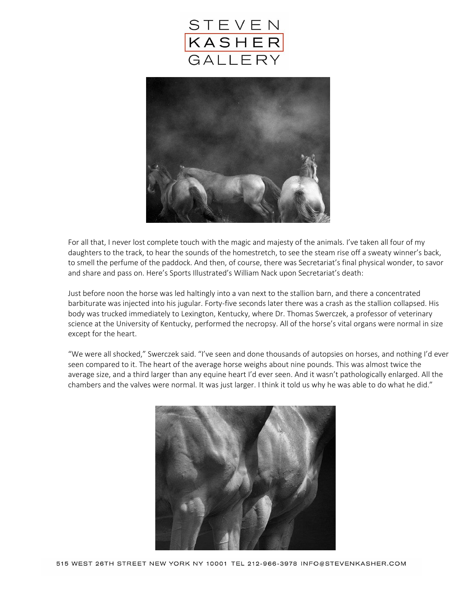



For all that, I never lost complete touch with the magic and majesty of the animals. I've taken all four of my daughters to the track, to hear the sounds of the homestretch, to see the steam rise off a sweaty winner's back, to smell the perfume of the paddock. And then, of course, there was Secretariat's final physical wonder, to savor and share and pass on. Here's Sports Illustrated's William Nack upon Secretariat's death:

Just before noon the horse was led haltingly into a van next to the stallion barn, and there a concentrated barbiturate was injected into his jugular. Forty-five seconds later there was a crash as the stallion collapsed. His body was trucked immediately to Lexington, Kentucky, where Dr. Thomas Swerczek, a professor of veterinary science at the University of Kentucky, performed the necropsy. All of the horse's vital organs were normal in size except for the heart.

"We were all shocked," Swerczek said. "I've seen and done thousands of autopsies on horses, and nothing I'd ever seen compared to it. The heart of the average horse weighs about nine pounds. This was almost twice the average size, and a third larger than any equine heart I'd ever seen. And it wasn't pathologically enlarged. All the chambers and the valves were normal. It was just larger. I think it told us why he was able to do what he did."